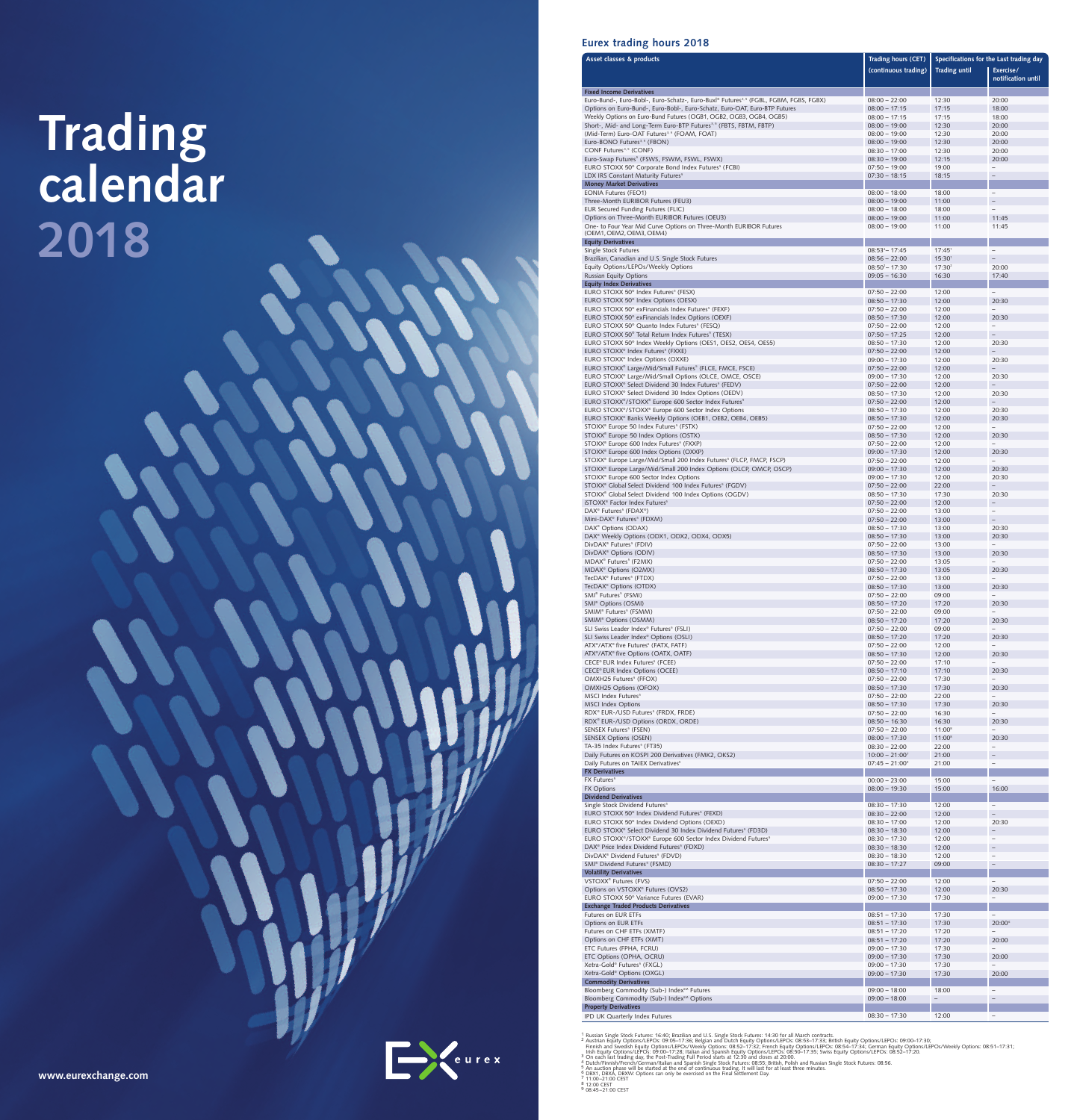# Trading<br>calendar 2018



| Asset classes & products                                                                                                                         | Trading hours (CET)                  | Specifications for the Last trading day |                                                      |  |  |
|--------------------------------------------------------------------------------------------------------------------------------------------------|--------------------------------------|-----------------------------------------|------------------------------------------------------|--|--|
|                                                                                                                                                  | (continuous trading)                 | <b>Trading until</b>                    | Exercise/                                            |  |  |
|                                                                                                                                                  |                                      |                                         | notification until                                   |  |  |
| <b>Fixed Income Derivatives</b><br>Euro-Bund-, Euro-Bobl-, Euro-Schatz-, Euro-Buxl® Futures <sup>3,5</sup> (FGBL, FGBM, FGBS, FGBX)              | $08:00 - 22:00$                      | 12:30                                   | 20:00                                                |  |  |
| Options on Euro-Bund-, Euro-Bobl-, Euro-Schatz, Euro-OAT, Euro-BTP Futures                                                                       | $08:00 - 17:15$                      | 17:15                                   | 18:00                                                |  |  |
| Weekly Options on Euro-Bund Futures (OGB1, OGB2, OGB3, OGB4, OGB5)                                                                               | $08:00 - 17:15$                      | 17:15                                   | 18:00                                                |  |  |
| Short-, Mid- and Long-Term Euro-BTP Futures <sup>3,5</sup> (FBTS, FBTM, FBTP)<br>(Mid-Term) Euro-OAT Futures <sup>3,5</sup> (FOAM, FOAT)         | $08:00 - 19:00$<br>$08:00 - 19:00$   | 12:30<br>12:30                          | 20:00<br>20:00                                       |  |  |
| Euro-BONO Futures <sup>3,5</sup> (FBON)                                                                                                          | $08:00 - 19:00$                      | 12:30                                   | 20:00                                                |  |  |
| CONF Futures <sup>3, 5</sup> (CONF)                                                                                                              | $08:30 - 17:00$                      | 12:30                                   | 20:00                                                |  |  |
| Euro-Swap Futures <sup>5</sup> (FSWS, FSWM, FSWL, FSWX)<br>EURO STOXX 50 <sup>®</sup> Corporate Bond Index Futures <sup>5</sup> (FCBI)           | $08:30 - 19:00$<br>$07:50 - 19:00$   | 12:15<br>19:00                          | 20:00<br>$\overline{\phantom{m}}$                    |  |  |
| LDX IRS Constant Maturity Futures <sup>5</sup>                                                                                                   | $07:30 - 18:15$                      | 18:15                                   | $\qquad \qquad -$                                    |  |  |
| <b>Money Market Derivatives</b>                                                                                                                  |                                      |                                         |                                                      |  |  |
| <b>EONIA Futures (FEO1)</b><br>Three-Month EURIBOR Futures (FEU3)                                                                                | $08:00 - 18:00$<br>$08:00 - 19:00$   | 18:00<br>11:00                          | $\overline{\phantom{0}}$<br>$\qquad \qquad -$        |  |  |
| EUR Secured Funding Futures (FLIC)                                                                                                               | $08:00 - 18:00$                      | 18:00                                   |                                                      |  |  |
| Options on Three-Month EURIBOR Futures (OEU3)                                                                                                    | $08:00 - 19:00$                      | 11:00                                   | 11:45                                                |  |  |
| One- to Four Year Mid Curve Options on Three-Month EURIBOR Futures<br>(OEM1, OEM2, OEM3, OEM4)                                                   | $08:00 - 19:00$                      | 11:00                                   | 11:45                                                |  |  |
| <b>Equity Derivatives</b>                                                                                                                        |                                      |                                         |                                                      |  |  |
| Single Stock Futures                                                                                                                             | $08:53^{4} - 17:45$                  | 17:45 <sup>1</sup>                      | $\overline{\phantom{a}}$                             |  |  |
| Brazilian, Canadian and U.S. Single Stock Futures<br>Equity Options/LEPOs/Weekly Options                                                         | $08:56 - 22:00$<br>$08:50^2 - 17:30$ | $15:30^{1}$<br>17:30 <sup>2</sup>       | 20:00                                                |  |  |
| <b>Russian Equity Options</b>                                                                                                                    | $09:05 - 16:30$                      | 16:30                                   | 17:40                                                |  |  |
| <b>Equity Index Derivatives</b>                                                                                                                  |                                      |                                         |                                                      |  |  |
| EURO STOXX 50 <sup>®</sup> Index Futures <sup>5</sup> (FESX)<br>EURO STOXX 50 <sup>®</sup> Index Options (OESX)                                  | $07:50 - 22:00$<br>$08:50 - 17:30$   | 12:00<br>12:00                          | $\overline{\phantom{0}}$<br>20:30                    |  |  |
| EURO STOXX 50 <sup>®</sup> exFinancials Index Futures <sup>5</sup> (FEXF)                                                                        | $07:50 - 22:00$                      | 12:00                                   | $\equiv$                                             |  |  |
| EURO STOXX 50 <sup>®</sup> exFinancials Index Options (OEXF)                                                                                     | $08:50 - 17:30$                      | 12:00                                   | 20:30                                                |  |  |
| EURO STOXX 50 <sup>®</sup> Quanto Index Futures <sup>5</sup> (FESQ)<br>EURO STOXX 50 <sup>®</sup> Total Return Index Futures <sup>5</sup> (TESX) | $07:50 - 22:00$<br>$07:50 - 17:25$   | 12:00<br>12:00                          | $\overline{\phantom{a}}$                             |  |  |
| EURO STOXX 50 <sup>®</sup> Index Weekly Options (OES1, OES2, OES4, OES5)                                                                         | $08:50 - 17:30$                      | 12:00                                   | 20:30                                                |  |  |
| EURO STOXX <sup>®</sup> Index Futures <sup>5</sup> (FXXE)                                                                                        | $07:50 - 22:00$                      | 12:00                                   |                                                      |  |  |
| EURO STOXX <sup>®</sup> Index Options (OXXE)<br>EURO STOXX® Large/Mid/Small Futures <sup>5</sup> (FLCE, FMCE, FSCE)                              | $09:00 - 17:30$<br>$07:50 - 22:00$   | 12:00<br>12:00                          | 20:30<br>$\overline{\phantom{0}}$                    |  |  |
| EURO STOXX® Large/Mid/Small Options (OLCE, OMCE, OSCE)                                                                                           | $09:00 - 17:30$                      | 12:00                                   | 20:30                                                |  |  |
| EURO STOXX® Select Dividend 30 Index Futures <sup>5</sup> (FEDV)                                                                                 | $07:50 - 22:00$                      | 12:00                                   |                                                      |  |  |
| EURO STOXX <sup>®</sup> Select Dividend 30 Index Options (OEDV)<br>EURO STOXX®/STOXX® Europe 600 Sector Index Futures <sup>5</sup>               | $08:50 - 17:30$<br>$07:50 - 22:00$   | 12:00<br>12:00                          | 20:30<br>$\overline{\phantom{0}}$                    |  |  |
| EURO STOXX <sup>®</sup> /STOXX <sup>®</sup> Europe 600 Sector Index Options                                                                      | $08:50 - 17:30$                      | 12:00                                   | 20:30                                                |  |  |
| EURO STOXX® Banks Weekly Options (OEB1, OEB2, OEB4, OEB5)                                                                                        | $08:50 - 17:30$                      | 12:00                                   | 20:30                                                |  |  |
| STOXX® Europe 50 Index Futures <sup>5</sup> (FSTX)<br>STOXX® Europe 50 Index Options (OSTX)                                                      | $07:50 - 22:00$                      | 12:00                                   |                                                      |  |  |
| STOXX® Europe 600 Index Futures <sup>5</sup> (FXXP)                                                                                              | $08:50 - 17:30$<br>$07:50 - 22:00$   | 12:00<br>12:00                          | 20:30                                                |  |  |
| STOXX® Europe 600 Index Options (OXXP)                                                                                                           | $09:00 - 17:30$                      | 12:00                                   | 20:30                                                |  |  |
| STOXX <sup>®</sup> Europe Large/Mid/Small 200 Index Futures <sup>5</sup> (FLCP, FMCP, FSCP)                                                      | $07:50 - 22:00$                      | 12:00                                   |                                                      |  |  |
| STOXX® Europe Large/Mid/Small 200 Index Options (OLCP, OMCP, OSCP)<br>STOXX® Europe 600 Sector Index Options                                     | $09:00 - 17:30$<br>$09:00 - 17:30$   | 12:00<br>12:00                          | 20:30<br>20:30                                       |  |  |
| STOXX® Global Select Dividend 100 Index Futures <sup>5</sup> (FGDV)                                                                              | $07:50 - 22:00$                      | 22:00                                   |                                                      |  |  |
| STOXX® Global Select Dividend 100 Index Options (OGDV)                                                                                           | $08:50 - 17:30$                      | 17:30                                   | 20:30                                                |  |  |
| iSTOXX <sup>®</sup> Factor Index Futures <sup>5</sup><br>DAX <sup>®</sup> Futures <sup>5</sup> (FDAX <sup>®</sup> )                              | $07:50 - 22:00$<br>$07:50 - 22:00$   | 12:00<br>13:00                          | $\overline{\phantom{a}}$                             |  |  |
| Mini-DAX <sup>®</sup> Futures <sup>5</sup> (FDXM)                                                                                                | $07:50 - 22:00$                      | 13:00                                   | $-$                                                  |  |  |
| DAX <sup>®</sup> Options (ODAX)                                                                                                                  | $08:50 - 17:30$                      | 13:00                                   | 20:30                                                |  |  |
| DAX <sup>®</sup> Weekly Options (ODX1, ODX2, ODX4, ODX5)<br>DivDAX® Futures <sup>5</sup> (FDIV)                                                  | $08:50 - 17:30$<br>$07:50 - 22:00$   | 13:00<br>13:00                          | 20:30<br>$\overline{\phantom{0}}$                    |  |  |
| DivDAX <sup>®</sup> Options (ODIV)                                                                                                               | $08:50 - 17:30$                      | 13:00                                   | 20:30                                                |  |  |
| MDAX <sup>®</sup> Futures <sup>5</sup> (F2MX)                                                                                                    | $07:50 - 22:00$                      | 13:05                                   | $\overline{\phantom{0}}$                             |  |  |
| MDAX <sup>®</sup> Options (O2MX)<br>TecDAX® Futures <sup>5</sup> (FTDX)                                                                          | $08:50 - 17:30$<br>$07:50 - 22:00$   | 13:05<br>13:00                          | 20:30                                                |  |  |
| TecDAX <sup>®</sup> Options (OTDX)                                                                                                               | $08:50 - 17:30$                      | 13:00                                   | 20:30                                                |  |  |
| SMI <sup>®</sup> Futures <sup>5</sup> (FSMI)                                                                                                     | $07:50 - 22:00$                      | 09:00                                   | $\overline{\phantom{0}}$                             |  |  |
| SMI <sup>®</sup> Options (OSMI)<br>SMIM® Futures <sup>5</sup> (FSMM)                                                                             | $08:50 - 17:20$<br>$07:50 - 22:00$   | 17:20<br>09:00                          | 20:30<br>$\overline{\phantom{0}}$                    |  |  |
| SMIM <sup>®</sup> Options (OSMM)                                                                                                                 | $08:50 - 17:20$                      | 17:20                                   | 20:30                                                |  |  |
| SLI Swiss Leader Index <sup>®</sup> Futures <sup>5</sup> (FSLI)                                                                                  | $07:50 - 22:00$                      | 09:00                                   | $\overline{\phantom{0}}$                             |  |  |
| SLI Swiss Leader Index <sup>®</sup> Options (OSLI)<br>ATX <sup>®</sup> /ATX <sup>®</sup> five Futures <sup>5</sup> (FATX, FATF)                  | $08:50 - 17:20$<br>$07:50 - 22:00$   | 17:20<br>12:00                          | 20:30<br>$\overline{\phantom{0}}$                    |  |  |
| ATX®/ATX® five Options (OATX, OATF)                                                                                                              | $08:50 - 17:30$                      | 12:00                                   | 20:30                                                |  |  |
| CECE® EUR Index Futures <sup>5</sup> (FCEE)                                                                                                      | $07:50 - 22:00$                      | 17:10<br>17:10                          | $\overline{\phantom{0}}$<br>20:30                    |  |  |
| CECE® EUR Index Options (OCEE)<br>OMXH25 Futures <sup>5</sup> (FFOX)                                                                             | $08:50 - 17:10$<br>$07:50 - 22:00$   | 17:30                                   | $\overline{\phantom{0}}$                             |  |  |
| OMXH25 Options (OFOX)                                                                                                                            | $08:50 - 17:30$                      | 17:30                                   | 20:30                                                |  |  |
| MSCI Index Futures <sup>5</sup>                                                                                                                  | $07:50 - 22:00$                      | 22:00                                   | $\overline{\phantom{0}}$                             |  |  |
| <b>MSCI Index Options</b><br>RDX® EUR-/USD Futures <sup>5</sup> (FRDX, FRDE)                                                                     | $08:50 - 17:30$<br>$07:50 - 22:00$   | 17:30<br>16:30                          | 20:30<br>$\overline{\phantom{0}}$                    |  |  |
| RDX <sup>®</sup> EUR-/USD Options (ORDX, ORDE)                                                                                                   | $08:50 - 16:30$                      | 16:30                                   | 20:30                                                |  |  |
| SENSEX Futures <sup>5</sup> (FSEN)                                                                                                               | $07:50 - 22:00$                      | $11:00^8$                               |                                                      |  |  |
| <b>SENSEX Options (OSEN)</b><br>TA-35 Index Futures <sup>5</sup> (FT35)                                                                          | $08:00 - 17:30$<br>$08:30 - 22:00$   | $11:00^8$<br>22:00                      | 20:30<br>$\overline{\phantom{0}}$                    |  |  |
| Daily Futures on KOSPI 200 Derivatives (FMK2, OKS2)                                                                                              | $10:00 - 21:00^{7}$                  | 21:00                                   | $\overline{\phantom{0}}$                             |  |  |
| Daily Futures on TAIEX Derivatives <sup>5</sup>                                                                                                  | $07:45 - 21:00^9$                    | 21:00                                   | $\qquad \qquad -$                                    |  |  |
| <b>FX Derivatives</b><br>FX Futures <sup>5</sup>                                                                                                 | $00:00 - 23:00$                      | 15:00                                   | $\qquad \qquad -$                                    |  |  |
| <b>FX Options</b>                                                                                                                                | $08:00 - 19:30$                      | 15:00                                   | 16:00                                                |  |  |
| <b>Dividend Derivatives</b>                                                                                                                      |                                      |                                         |                                                      |  |  |
| Single Stock Dividend Futures <sup>5</sup><br>EURO STOXX 50 <sup>®</sup> Index Dividend Futures <sup>5</sup> (FEXD)                              | $08:30 - 17:30$<br>$08:30 - 22:00$   | 12:00<br>12:00                          | $\overline{\phantom{0}}$<br>$\overline{\phantom{0}}$ |  |  |
| EURO STOXX 50 <sup>®</sup> Index Dividend Options (OEXD)                                                                                         | $08:30 - 17:00$                      | 12:00                                   | 20:30                                                |  |  |
| EURO STOXX <sup>®</sup> Select Dividend 30 Index Dividend Futures <sup>5</sup> (FD3D)                                                            | $08:30 - 18:30$                      | 12:00                                   | $\overline{\phantom{0}}$                             |  |  |
| EURO STOXX®/STOXX® Europe 600 Sector Index Dividend Futures <sup>5</sup><br>DAX <sup>®</sup> Price Index Dividend Futures <sup>5</sup> (FDXD)    | $08:30 - 17:30$<br>$08:30 - 18:30$   | 12:00<br>12:00                          | -<br>$\qquad \qquad -$                               |  |  |
| DivDAX <sup>®</sup> Dividend Futures <sup>5</sup> (FDVD)                                                                                         | $08:30 - 18:30$                      | 12:00                                   | $\qquad \qquad -$                                    |  |  |
| SMI <sup>®</sup> Dividend Futures <sup>5</sup> (FSMD)                                                                                            | $08:30 - 17:27$                      | 09:00                                   |                                                      |  |  |
| <b>Volatility Derivatives</b><br>VSTOXX <sup>®</sup> Futures (FVS)                                                                               | $07:50 - 22:00$                      | 12:00                                   |                                                      |  |  |
| Options on VSTOXX® Futures (OVS2)                                                                                                                | $08:50 - 17:30$                      | 12:00                                   | 20:30                                                |  |  |
| EURO STOXX 50 <sup>®</sup> Variance Futures (EVAR)                                                                                               | $09:00 - 17:30$                      | 17:30                                   |                                                      |  |  |
| <b>Exchange Traded Products Derivatives</b><br>Futures on EUR ETFs                                                                               | $08:51 - 17:30$                      | 17:30                                   |                                                      |  |  |
| Options on EUR ETFs                                                                                                                              | $08:51 - 17:30$                      | 17:30                                   | 20:00 <sup>6</sup>                                   |  |  |
| Futures on CHF ETFs (XMTF)                                                                                                                       | $08:51 - 17:20$                      | 17:20                                   | $\qquad \qquad -$                                    |  |  |
| Options on CHF ETFs (XMT)<br>ETC Futures (FPHA, FCRU)                                                                                            | $08:51 - 17:20$<br>$09:00 - 17:30$   | 17:20<br>17:30                          | 20:00<br>-                                           |  |  |
| ETC Options (OPHA, OCRU)                                                                                                                         | $09:00 - 17:30$                      | 17:30                                   | 20:00                                                |  |  |
| Xetra-Gold® Futures <sup>5</sup> (FXGL)                                                                                                          | $09:00 - 17:30$                      | 17:30                                   | $\overline{\phantom{0}}$                             |  |  |
| Xetra-Gold <sup>®</sup> Options (OXGL)<br><b>Commodity Derivatives</b>                                                                           | $09:00 - 17:30$                      | 17:30                                   | 20:00                                                |  |  |
| Bloomberg Commodity (Sub-) Index <sup>5M</sup> Futures                                                                                           | $09:00 - 18:00$                      | 18:00                                   | $\overline{\phantom{a}}$                             |  |  |
| Bloomberg Commodity (Sub-) Index <sup>5M</sup> Options                                                                                           | $09:00 - 18:00$                      | $\overline{\phantom{a}}$                | $\qquad \qquad -$                                    |  |  |
| <b>Property Derivatives</b><br>IPD UK Quarterly Index Futures                                                                                    | $08:30 - 17:30$                      | 12:00                                   | $\overline{\phantom{a}}$                             |  |  |
|                                                                                                                                                  |                                      |                                         |                                                      |  |  |

1 Russian Single Stock Futures: 16:40; Brazilian and U.S. Single Stock Futures: 14:30 for all March contracts.<br>
2 Austrian Equity Options/LEPOs: 09:05–17:36; Belgian and Dutch Equity Options/LEPOs: 08:53–17:33; British Equ

Leurex

www.eurexchange.com